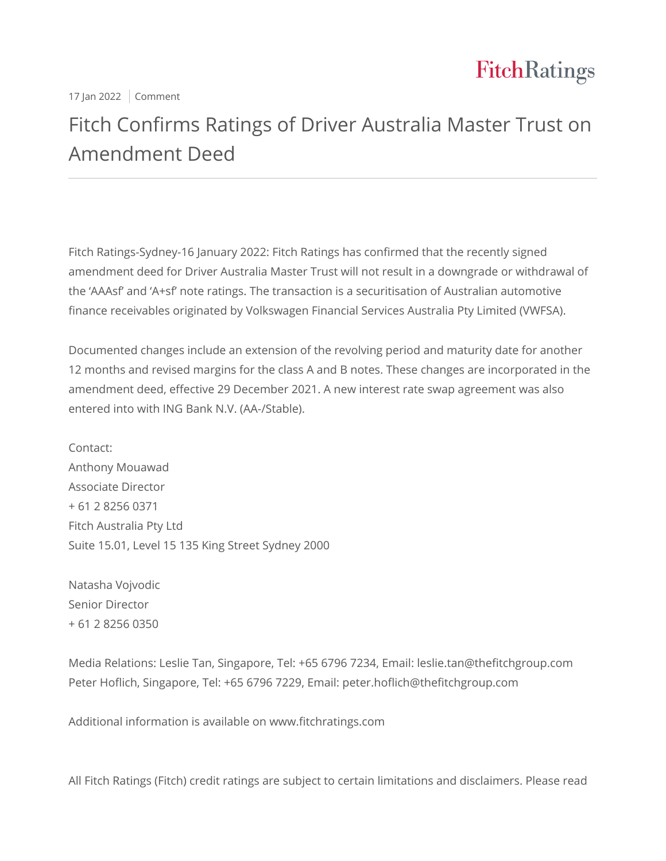## Fitch Confirms Ratings of Driver Australia Master Trust on Amendment Deed

Fitch Ratings-Sydney-16 January 2022: Fitch Ratings has confirmed that the recently signed amendment deed for Driver Australia Master Trust will not result in a downgrade or withdrawal of the 'AAAsf' and 'A+sf' note ratings. The transaction is a securitisation of Australian automotive finance receivables originated by Volkswagen Financial Services Australia Pty Limited (VWFSA).

Documented changes include an extension of the revolving period and maturity date for another 12 months and revised margins for the class A and B notes. These changes are incorporated in the amendment deed, effective 29 December 2021. A new interest rate swap agreement was also entered into with ING Bank N.V. (AA-/Stable).

Contact: Anthony Mouawad Associate Director + 61 2 8256 0371 Fitch Australia Pty Ltd Suite 15.01, Level 15 135 King Street Sydney 2000

Natasha Vojvodic Senior Director + 61 2 8256 0350

Media Relations: Leslie Tan, Singapore, Tel: +65 6796 7234, Email: leslie.tan@thefitchgroup.com Peter Hoflich, Singapore, Tel: +65 6796 7229, Email: peter.hoflich@thefitchgroup.com

Additional information is available on www.fitchratings.com

All Fitch Ratings (Fitch) credit ratings are subject to certain limitations and disclaimers. Please read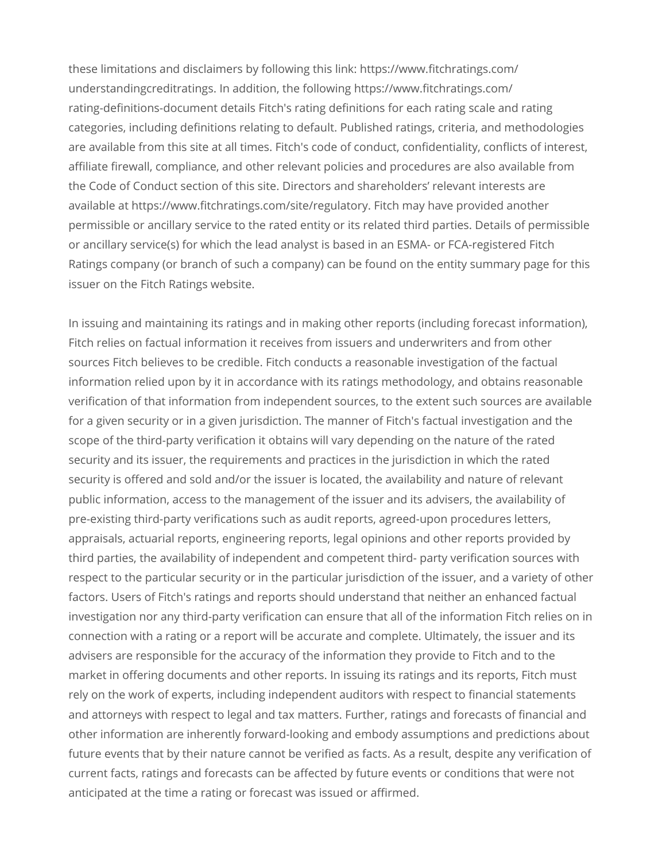these limitations and disclaimers by following this link: https://www.fitchratings.com/ understandingcreditratings. In addition, the following https://www.fitchratings.com/ rating-definitions-document details Fitch's rating definitions for each rating scale and rating categories, including definitions relating to default. Published ratings, criteria, and methodologies are available from this site at all times. Fitch's code of conduct, confidentiality, conflicts of interest, affiliate firewall, compliance, and other relevant policies and procedures are also available from the Code of Conduct section of this site. Directors and shareholders' relevant interests are available at https://www.fitchratings.com/site/regulatory. Fitch may have provided another permissible or ancillary service to the rated entity or its related third parties. Details of permissible or ancillary service(s) for which the lead analyst is based in an ESMA- or FCA-registered Fitch Ratings company (or branch of such a company) can be found on the entity summary page for this issuer on the Fitch Ratings website.

In issuing and maintaining its ratings and in making other reports (including forecast information), Fitch relies on factual information it receives from issuers and underwriters and from other sources Fitch believes to be credible. Fitch conducts a reasonable investigation of the factual information relied upon by it in accordance with its ratings methodology, and obtains reasonable verification of that information from independent sources, to the extent such sources are available for a given security or in a given jurisdiction. The manner of Fitch's factual investigation and the scope of the third-party verification it obtains will vary depending on the nature of the rated security and its issuer, the requirements and practices in the jurisdiction in which the rated security is offered and sold and/or the issuer is located, the availability and nature of relevant public information, access to the management of the issuer and its advisers, the availability of pre-existing third-party verifications such as audit reports, agreed-upon procedures letters, appraisals, actuarial reports, engineering reports, legal opinions and other reports provided by third parties, the availability of independent and competent third- party verification sources with respect to the particular security or in the particular jurisdiction of the issuer, and a variety of other factors. Users of Fitch's ratings and reports should understand that neither an enhanced factual investigation nor any third-party verification can ensure that all of the information Fitch relies on in connection with a rating or a report will be accurate and complete. Ultimately, the issuer and its advisers are responsible for the accuracy of the information they provide to Fitch and to the market in offering documents and other reports. In issuing its ratings and its reports, Fitch must rely on the work of experts, including independent auditors with respect to financial statements and attorneys with respect to legal and tax matters. Further, ratings and forecasts of financial and other information are inherently forward-looking and embody assumptions and predictions about future events that by their nature cannot be verified as facts. As a result, despite any verification of current facts, ratings and forecasts can be affected by future events or conditions that were not anticipated at the time a rating or forecast was issued or affirmed.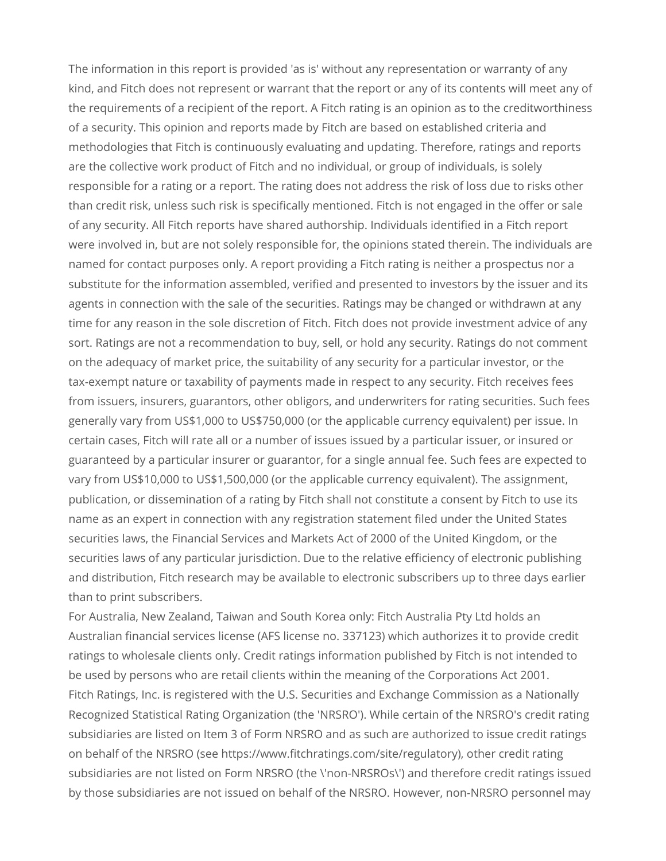The information in this report is provided 'as is' without any representation or warranty of any kind, and Fitch does not represent or warrant that the report or any of its contents will meet any of the requirements of a recipient of the report. A Fitch rating is an opinion as to the creditworthiness of a security. This opinion and reports made by Fitch are based on established criteria and methodologies that Fitch is continuously evaluating and updating. Therefore, ratings and reports are the collective work product of Fitch and no individual, or group of individuals, is solely responsible for a rating or a report. The rating does not address the risk of loss due to risks other than credit risk, unless such risk is specifically mentioned. Fitch is not engaged in the offer or sale of any security. All Fitch reports have shared authorship. Individuals identified in a Fitch report were involved in, but are not solely responsible for, the opinions stated therein. The individuals are named for contact purposes only. A report providing a Fitch rating is neither a prospectus nor a substitute for the information assembled, verified and presented to investors by the issuer and its agents in connection with the sale of the securities. Ratings may be changed or withdrawn at any time for any reason in the sole discretion of Fitch. Fitch does not provide investment advice of any sort. Ratings are not a recommendation to buy, sell, or hold any security. Ratings do not comment on the adequacy of market price, the suitability of any security for a particular investor, or the tax-exempt nature or taxability of payments made in respect to any security. Fitch receives fees from issuers, insurers, guarantors, other obligors, and underwriters for rating securities. Such fees generally vary from US\$1,000 to US\$750,000 (or the applicable currency equivalent) per issue. In certain cases, Fitch will rate all or a number of issues issued by a particular issuer, or insured or guaranteed by a particular insurer or guarantor, for a single annual fee. Such fees are expected to vary from US\$10,000 to US\$1,500,000 (or the applicable currency equivalent). The assignment, publication, or dissemination of a rating by Fitch shall not constitute a consent by Fitch to use its name as an expert in connection with any registration statement filed under the United States securities laws, the Financial Services and Markets Act of 2000 of the United Kingdom, or the securities laws of any particular jurisdiction. Due to the relative efficiency of electronic publishing and distribution, Fitch research may be available to electronic subscribers up to three days earlier than to print subscribers.

For Australia, New Zealand, Taiwan and South Korea only: Fitch Australia Pty Ltd holds an Australian financial services license (AFS license no. 337123) which authorizes it to provide credit ratings to wholesale clients only. Credit ratings information published by Fitch is not intended to be used by persons who are retail clients within the meaning of the Corporations Act 2001. Fitch Ratings, Inc. is registered with the U.S. Securities and Exchange Commission as a Nationally Recognized Statistical Rating Organization (the 'NRSRO'). While certain of the NRSRO's credit rating subsidiaries are listed on Item 3 of Form NRSRO and as such are authorized to issue credit ratings on behalf of the NRSRO (see https://www.fitchratings.com/site/regulatory), other credit rating subsidiaries are not listed on Form NRSRO (the \'non-NRSROs\') and therefore credit ratings issued by those subsidiaries are not issued on behalf of the NRSRO. However, non-NRSRO personnel may